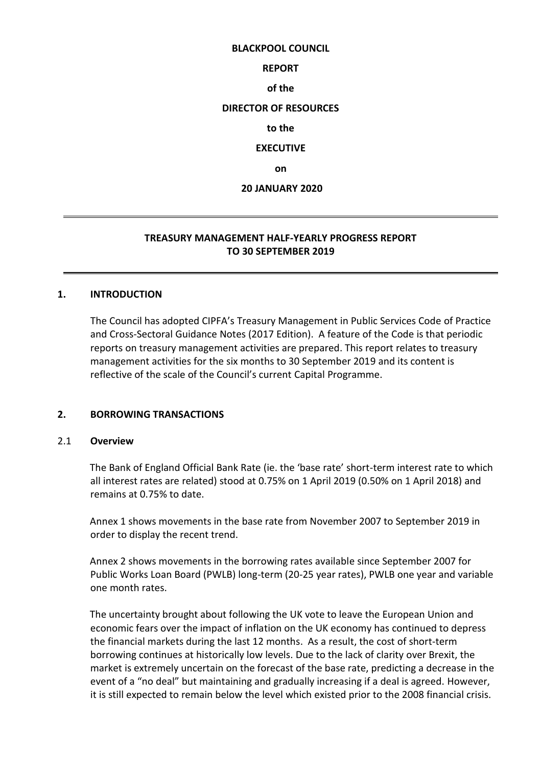#### **BLACKPOOL COUNCIL**

#### **REPORT**

**of the**

#### **DIRECTOR OF RESOURCES**

**to the**

#### **EXECUTIVE**

**on**

#### **20 JANUARY 2020**

# **TREASURY MANAGEMENT HALF-YEARLY PROGRESS REPORT TO 30 SEPTEMBER 2019**

#### **1. INTRODUCTION**

The Council has adopted CIPFA's Treasury Management in Public Services Code of Practice and Cross-Sectoral Guidance Notes (2017 Edition). A feature of the Code is that periodic reports on treasury management activities are prepared. This report relates to treasury management activities for the six months to 30 September 2019 and its content is reflective of the scale of the Council's current Capital Programme.

#### **2. BORROWING TRANSACTIONS**

#### 2.1 **Overview**

The Bank of England Official Bank Rate (ie. the 'base rate' short-term interest rate to which all interest rates are related) stood at 0.75% on 1 April 2019 (0.50% on 1 April 2018) and remains at 0.75% to date.

Annex 1 shows movements in the base rate from November 2007 to September 2019 in order to display the recent trend.

Annex 2 shows movements in the borrowing rates available since September 2007 for Public Works Loan Board (PWLB) long-term (20-25 year rates), PWLB one year and variable one month rates.

The uncertainty brought about following the UK vote to leave the European Union and economic fears over the impact of inflation on the UK economy has continued to depress the financial markets during the last 12 months. As a result, the cost of short-term borrowing continues at historically low levels. Due to the lack of clarity over Brexit, the market is extremely uncertain on the forecast of the base rate, predicting a decrease in the event of a "no deal" but maintaining and gradually increasing if a deal is agreed. However, it is still expected to remain below the level which existed prior to the 2008 financial crisis.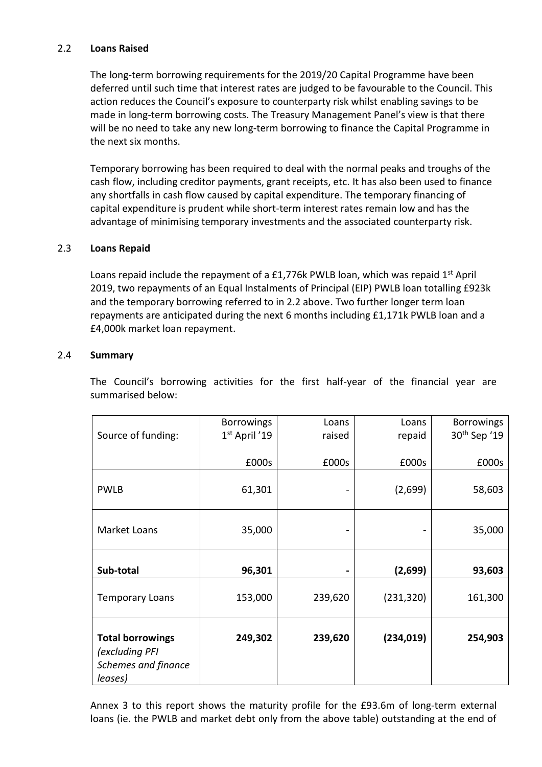# 2.2 **Loans Raised**

The long-term borrowing requirements for the 2019/20 Capital Programme have been deferred until such time that interest rates are judged to be favourable to the Council. This action reduces the Council's exposure to counterparty risk whilst enabling savings to be made in long-term borrowing costs. The Treasury Management Panel's view is that there will be no need to take any new long-term borrowing to finance the Capital Programme in the next six months.

Temporary borrowing has been required to deal with the normal peaks and troughs of the cash flow, including creditor payments, grant receipts, etc. It has also been used to finance any shortfalls in cash flow caused by capital expenditure. The temporary financing of capital expenditure is prudent while short-term interest rates remain low and has the advantage of minimising temporary investments and the associated counterparty risk.

# 2.3 **Loans Repaid**

Loans repaid include the repayment of a £1,776k PWLB loan, which was repaid  $1<sup>st</sup>$  April 2019, two repayments of an Equal Instalments of Principal (EIP) PWLB loan totalling £923k and the temporary borrowing referred to in 2.2 above. Two further longer term loan repayments are anticipated during the next 6 months including £1,171k PWLB loan and a £4,000k market loan repayment.

#### 2.4 **Summary**

The Council's borrowing activities for the first half-year of the financial year are summarised below:

|                         | <b>Borrowings</b> | Loans   | Loans      | <b>Borrowings</b>        |
|-------------------------|-------------------|---------|------------|--------------------------|
| Source of funding:      | 1st April '19     | raised  | repaid     | 30 <sup>th</sup> Sep '19 |
|                         |                   |         |            |                          |
|                         | £000s             | £000s   | £000s      | £000s                    |
|                         |                   |         |            |                          |
| <b>PWLB</b>             | 61,301            |         | (2,699)    | 58,603                   |
|                         |                   |         |            |                          |
| <b>Market Loans</b>     | 35,000            |         |            | 35,000                   |
|                         |                   |         |            |                          |
|                         |                   |         |            |                          |
| Sub-total               | 96,301            |         | (2,699)    | 93,603                   |
|                         |                   |         |            |                          |
| <b>Temporary Loans</b>  | 153,000           | 239,620 | (231, 320) | 161,300                  |
|                         |                   |         |            |                          |
|                         |                   |         |            |                          |
| <b>Total borrowings</b> | 249,302           | 239,620 | (234, 019) | 254,903                  |
| (excluding PFI          |                   |         |            |                          |
| Schemes and finance     |                   |         |            |                          |
| leases)                 |                   |         |            |                          |

Annex 3 to this report shows the maturity profile for the £93.6m of long-term external loans (ie. the PWLB and market debt only from the above table) outstanding at the end of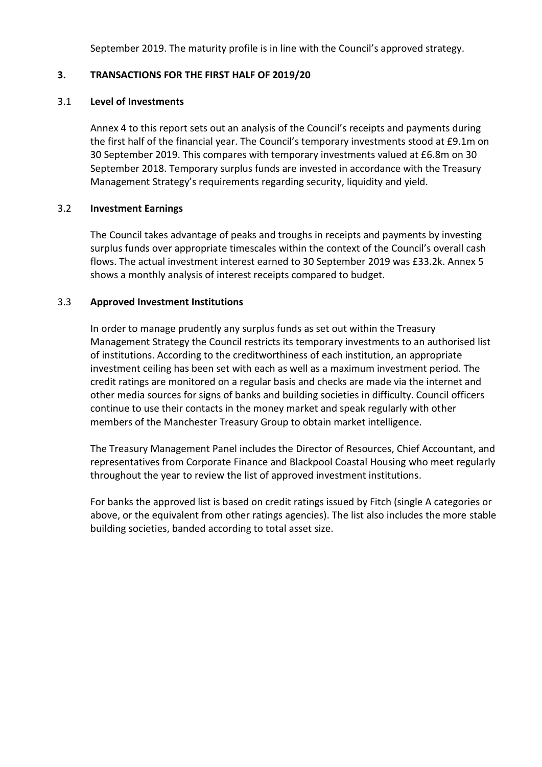September 2019. The maturity profile is in line with the Council's approved strategy.

# **3. TRANSACTIONS FOR THE FIRST HALF OF 2019/20**

#### 3.1 **Level of Investments**

Annex 4 to this report sets out an analysis of the Council's receipts and payments during the first half of the financial year. The Council's temporary investments stood at £9.1m on 30 September 2019. This compares with temporary investments valued at £6.8m on 30 September 2018. Temporary surplus funds are invested in accordance with the Treasury Management Strategy's requirements regarding security, liquidity and yield.

# 3.2 **Investment Earnings**

The Council takes advantage of peaks and troughs in receipts and payments by investing surplus funds over appropriate timescales within the context of the Council's overall cash flows. The actual investment interest earned to 30 September 2019 was £33.2k. Annex 5 shows a monthly analysis of interest receipts compared to budget.

# 3.3 **Approved Investment Institutions**

In order to manage prudently any surplus funds as set out within the Treasury Management Strategy the Council restricts its temporary investments to an authorised list of institutions. According to the creditworthiness of each institution, an appropriate investment ceiling has been set with each as well as a maximum investment period. The credit ratings are monitored on a regular basis and checks are made via the internet and other media sources for signs of banks and building societies in difficulty. Council officers continue to use their contacts in the money market and speak regularly with other members of the Manchester Treasury Group to obtain market intelligence.

The Treasury Management Panel includes the Director of Resources, Chief Accountant, and representatives from Corporate Finance and Blackpool Coastal Housing who meet regularly throughout the year to review the list of approved investment institutions.

For banks the approved list is based on credit ratings issued by Fitch (single A categories or above, or the equivalent from other ratings agencies). The list also includes the more stable building societies, banded according to total asset size.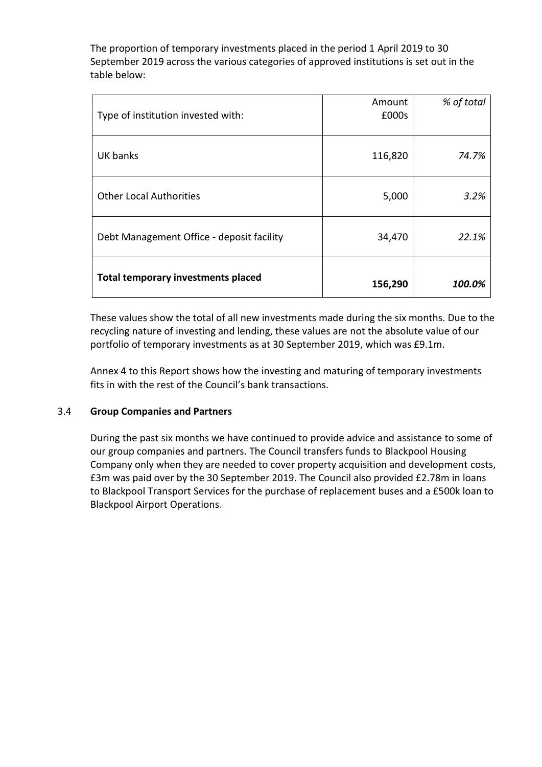The proportion of temporary investments placed in the period 1 April 2019 to 30 September 2019 across the various categories of approved institutions is set out in the table below:

| Type of institution invested with:        | Amount<br>£000s | % of total |
|-------------------------------------------|-----------------|------------|
| UK banks                                  | 116,820         | 74.7%      |
| <b>Other Local Authorities</b>            | 5,000           | 3.2%       |
| Debt Management Office - deposit facility | 34,470          | 22.1%      |
| <b>Total temporary investments placed</b> | 156,290         | 100.0%     |

These values show the total of all new investments made during the six months. Due to the recycling nature of investing and lending, these values are not the absolute value of our portfolio of temporary investments as at 30 September 2019, which was £9.1m.

Annex 4 to this Report shows how the investing and maturing of temporary investments fits in with the rest of the Council's bank transactions.

#### 3.4 **Group Companies and Partners**

During the past six months we have continued to provide advice and assistance to some of our group companies and partners. The Council transfers funds to Blackpool Housing Company only when they are needed to cover property acquisition and development costs, £3m was paid over by the 30 September 2019. The Council also provided £2.78m in loans to Blackpool Transport Services for the purchase of replacement buses and a £500k loan to Blackpool Airport Operations.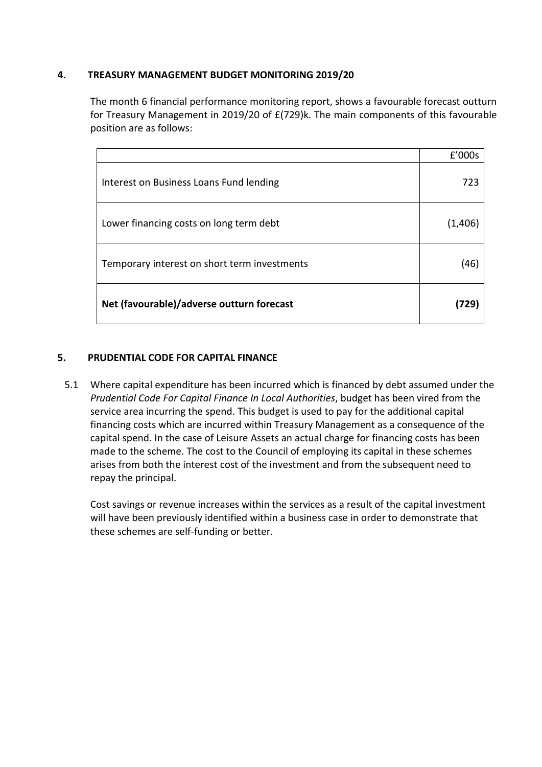# **4. TREASURY MANAGEMENT BUDGET MONITORING 2019/20**

The month 6 financial performance monitoring report, shows a favourable forecast outturn for Treasury Management in 2019/20 of £(729)k. The main components of this favourable position are as follows:

|                                              | f'000s  |
|----------------------------------------------|---------|
| Interest on Business Loans Fund lending      | 723     |
| Lower financing costs on long term debt      | (1,406) |
| Temporary interest on short term investments | (46)    |
| Net (favourable)/adverse outturn forecast    |         |

# **5. PRUDENTIAL CODE FOR CAPITAL FINANCE**

5.1 Where capital expenditure has been incurred which is financed by debt assumed under the *Prudential Code For Capital Finance In Local Authorities*, budget has been vired from the service area incurring the spend. This budget is used to pay for the additional capital financing costs which are incurred within Treasury Management as a consequence of the capital spend. In the case of Leisure Assets an actual charge for financing costs has been made to the scheme. The cost to the Council of employing its capital in these schemes arises from both the interest cost of the investment and from the subsequent need to repay the principal.

Cost savings or revenue increases within the services as a result of the capital investment will have been previously identified within a business case in order to demonstrate that these schemes are self-funding or better.